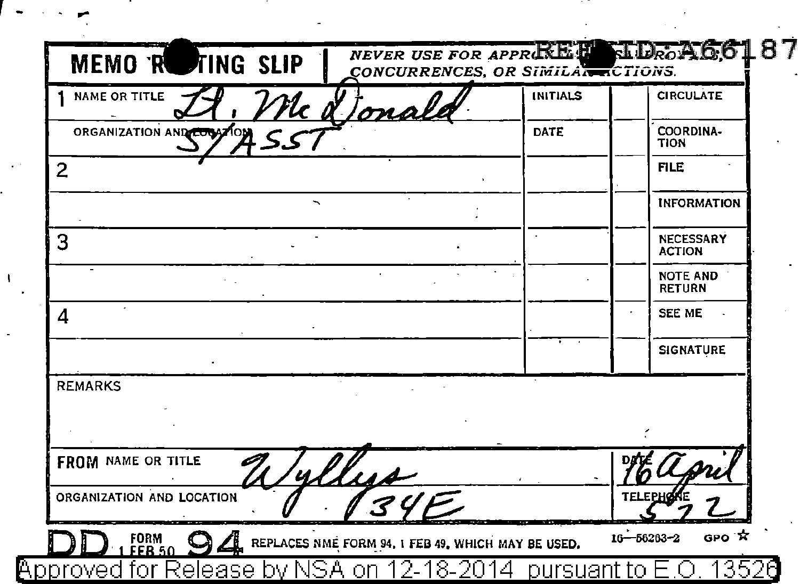| NAME OR TITLE<br>'lc <u>ot</u><br>ma | <b>INITIALS</b> | <b>CIRCULATE</b>                  |
|--------------------------------------|-----------------|-----------------------------------|
| ORGANIZATION AND COOSTON             | DATE            | COORDINA-<br><b>TION</b>          |
| $\overline{2}$                       |                 | <b>FILE</b>                       |
|                                      |                 | <b>INFORMATION</b>                |
| 3                                    |                 | <b>NECESSARY</b><br><b>ACTION</b> |
|                                      |                 | <b>NOTE AND</b><br><b>RETURN</b>  |
| 4                                    |                 | <b>SEE ME</b>                     |
|                                      |                 | <b>SIGNATURE</b>                  |
| <b>REMARKS</b>                       |                 |                                   |
|                                      |                 |                                   |
| FROM NAME OR TITLE<br>4.11.14        |                 |                                   |
| ORGANIZATION AND LOCATION            |                 | TELEPH                            |

 $\sigma$  ,  $\sigma$  ,  $\sigma$ 

 $\sim 10^7$ 

 $\mathbf{I}$  $\cdot$ 

l,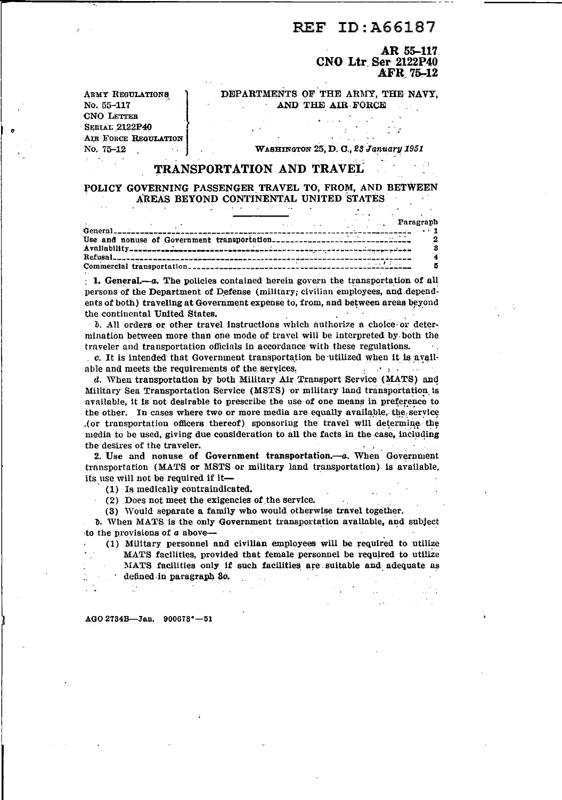#### ID: A66187 **REF**

AR 55-117 CNO Ltr Ser 2122P40 AFR 75-12

DEPARTMENTS OF THE ARMY. THE NAVY. AND THE AIR FORCE

**ARMY REGULATIONS** No. 55-117 **CNO LETTER SERIAL 2122P40** AIR FORCE REGULATION No. 75-12

WASHINGTON 25, D. C., 23 January 1951

# TRANSPORTATION AND TRAVEL

## POLICY GOVERNING PASSENGER TRAVEL TO, FROM, AND BETWEEN AREAS BEYOND CONTINENTAL UNITED STATES

|  |  |                        | <b>Example 2018</b> 2019 12:30 Paragraph |
|--|--|------------------------|------------------------------------------|
|  |  |                        |                                          |
|  |  | <b>TERRITA COMPANY</b> |                                          |

 $\pm$  1. General,—a. The policies contained herein govern the transportation of all persons of the Department of Defense (military; civilian employees, and dependents of both) traveling at Government expense to, from, and between areas beyond the continental United States.

b. All orders or other travel instructions which authorize a choice or determination between more than one mode of travel will be interpreted by both the traveler and transportation officials in accordance with these regulations.  $\sim$  .

c. It is intended that Government transportation be utilized when it is available and meets the requirements of the services. single special

d. When transportation by both Military Air Transport Service (MATS) and Military Sea Transportation Service (MSTS) or military land transportation is available, it is not desirable to prescribe the use of one means in preference to the other. In cases where two or more media are equally available, the service (or transportation officers thereof) sponsoring the travel will determine the media to be used, giving due consideration to all the facts in the case, including the desires of the traveler.

2. Use and nonuse of Government transportation.--- a. When Government transportation (MATS or MSTS or military land transportation) is available, its use will not be required if it-

(1) Is medically contraindicated.

(2) Does not meet the exigencies of the service.

(3) Would separate a family who would otherwise travel together.

b. When MATS is the only Government transportation available, and subject to the provisions of  $a$  above--

(1) Military personnel and civilian employees will be required to utilize MATS facilities, provided that female personnel be required to utilize MATS facilities only if such facilities are suitable and adequate as defined in paragraph 30.

AGO 2734B-Jan. 900678°-51